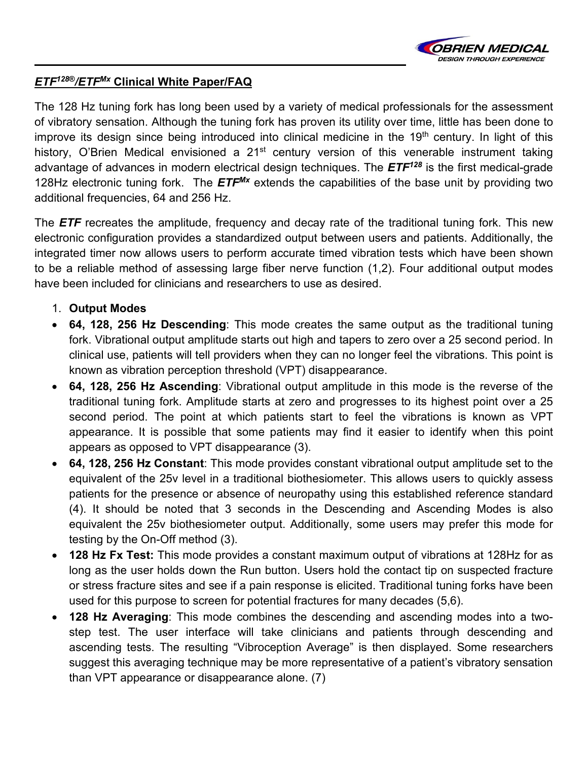

## *ETF128***®***/ETFMx* **Clinical White Paper/FAQ**

The 128 Hz tuning fork has long been used by a variety of medical professionals for the assessment of vibratory sensation. Although the tuning fork has proven its utility over time, little has been done to improve its design since being introduced into clinical medicine in the  $19<sup>th</sup>$  century. In light of this history, O'Brien Medical envisioned a 21<sup>st</sup> century version of this venerable instrument taking advantage of advances in modern electrical design techniques. The *ETF128* is the first medical-grade 128Hz electronic tuning fork. The *ETFMx* extends the capabilities of the base unit by providing two additional frequencies, 64 and 256 Hz.

The *ETF* recreates the amplitude, frequency and decay rate of the traditional tuning fork. This new electronic configuration provides a standardized output between users and patients. Additionally, the integrated timer now allows users to perform accurate timed vibration tests which have been shown to be a reliable method of assessing large fiber nerve function (1,2). Four additional output modes have been included for clinicians and researchers to use as desired.

- 1. **Output Modes**
- **64, 128, 256 Hz Descending**: This mode creates the same output as the traditional tuning fork. Vibrational output amplitude starts out high and tapers to zero over a 25 second period. In clinical use, patients will tell providers when they can no longer feel the vibrations. This point is known as vibration perception threshold (VPT) disappearance.
- **64, 128, 256 Hz Ascending**: Vibrational output amplitude in this mode is the reverse of the traditional tuning fork. Amplitude starts at zero and progresses to its highest point over a 25 second period. The point at which patients start to feel the vibrations is known as VPT appearance. It is possible that some patients may find it easier to identify when this point appears as opposed to VPT disappearance (3).
- **64, 128, 256 Hz Constant**: This mode provides constant vibrational output amplitude set to the equivalent of the 25v level in a traditional biothesiometer. This allows users to quickly assess patients for the presence or absence of neuropathy using this established reference standard (4). It should be noted that 3 seconds in the Descending and Ascending Modes is also equivalent the 25v biothesiometer output. Additionally, some users may prefer this mode for testing by the On-Off method (3).
- **128 Hz Fx Test:** This mode provides a constant maximum output of vibrations at 128Hz for as long as the user holds down the Run button. Users hold the contact tip on suspected fracture or stress fracture sites and see if a pain response is elicited. Traditional tuning forks have been used for this purpose to screen for potential fractures for many decades (5,6).
- **128 Hz Averaging**: This mode combines the descending and ascending modes into a twostep test. The user interface will take clinicians and patients through descending and ascending tests. The resulting "Vibroception Average" is then displayed. Some researchers suggest this averaging technique may be more representative of a patient's vibratory sensation than VPT appearance or disappearance alone. (7)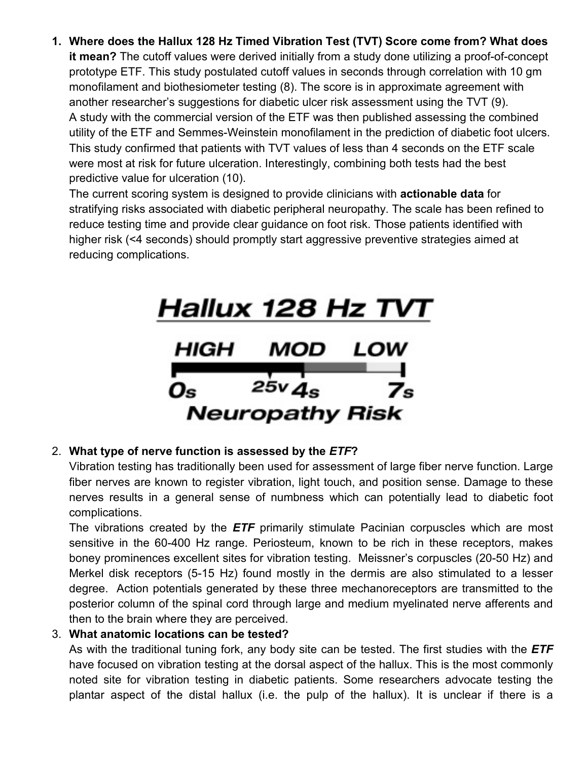**1. Where does the Hallux 128 Hz Timed Vibration Test (TVT) Score come from? What does it mean?** The cutoff values were derived initially from a study done utilizing a proof-of-concept prototype ETF. This study postulated cutoff values in seconds through correlation with 10 gm monofilament and biothesiometer testing (8). The score is in approximate agreement with another researcher's suggestions for diabetic ulcer risk assessment using the TVT (9). A study with the commercial version of the ETF was then published assessing the combined utility of the ETF and Semmes-Weinstein monofilament in the prediction of diabetic foot ulcers. This study confirmed that patients with TVT values of less than 4 seconds on the ETF scale were most at risk for future ulceration. Interestingly, combining both tests had the best predictive value for ulceration (10).

The current scoring system is designed to provide clinicians with **actionable data** for stratifying risks associated with diabetic peripheral neuropathy. The scale has been refined to reduce testing time and provide clear guidance on foot risk. Those patients identified with higher risk (<4 seconds) should promptly start aggressive preventive strategies aimed at reducing complications.



## 2. **What type of nerve function is assessed by the** *ETF***?**

Vibration testing has traditionally been used for assessment of large fiber nerve function. Large fiber nerves are known to register vibration, light touch, and position sense. Damage to these nerves results in a general sense of numbness which can potentially lead to diabetic foot complications.

The vibrations created by the *ETF* primarily stimulate Pacinian corpuscles which are most sensitive in the 60-400 Hz range. Periosteum, known to be rich in these receptors, makes boney prominences excellent sites for vibration testing. Meissner's corpuscles (20-50 Hz) and Merkel disk receptors (5-15 Hz) found mostly in the dermis are also stimulated to a lesser degree. Action potentials generated by these three mechanoreceptors are transmitted to the posterior column of the spinal cord through large and medium myelinated nerve afferents and then to the brain where they are perceived.

## 3. **What anatomic locations can be tested?**

As with the traditional tuning fork, any body site can be tested. The first studies with the *ETF* have focused on vibration testing at the dorsal aspect of the hallux. This is the most commonly noted site for vibration testing in diabetic patients. Some researchers advocate testing the plantar aspect of the distal hallux (i.e. the pulp of the hallux). It is unclear if there is a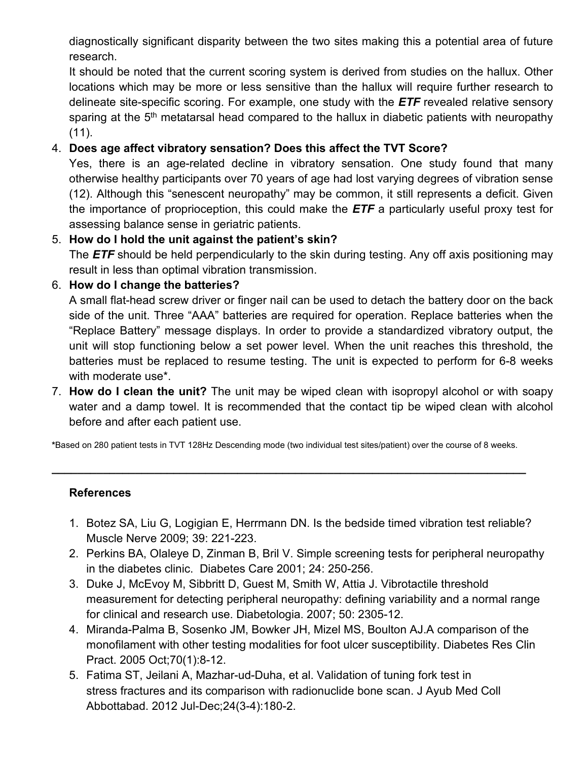diagnostically significant disparity between the two sites making this a potential area of future research.

It should be noted that the current scoring system is derived from studies on the hallux. Other locations which may be more or less sensitive than the hallux will require further research to delineate site-specific scoring. For example, one study with the *ETF* revealed relative sensory sparing at the  $5<sup>th</sup>$  metatarsal head compared to the hallux in diabetic patients with neuropathy  $(11)$ .

## 4. **Does age affect vibratory sensation? Does this affect the TVT Score?**

Yes, there is an age-related decline in vibratory sensation. One study found that many otherwise healthy participants over 70 years of age had lost varying degrees of vibration sense (12). Although this "senescent neuropathy" may be common, it still represents a deficit. Given the importance of proprioception, this could make the *ETF* a particularly useful proxy test for assessing balance sense in geriatric patients.

# 5. **How do I hold the unit against the patient's skin?**

The *ETF* should be held perpendicularly to the skin during testing. Any off axis positioning may result in less than optimal vibration transmission.

### 6. **How do I change the batteries?**

A small flat-head screw driver or finger nail can be used to detach the battery door on the back side of the unit. Three "AAA" batteries are required for operation. Replace batteries when the "Replace Battery" message displays. In order to provide a standardized vibratory output, the unit will stop functioning below a set power level. When the unit reaches this threshold, the batteries must be replaced to resume testing. The unit is expected to perform for 6-8 weeks with moderate use\*.

7. **How do I clean the unit?** The unit may be wiped clean with isopropyl alcohol or with soapy water and a damp towel. It is recommended that the contact tip be wiped clean with alcohol before and after each patient use.

**\***Based on 280 patient tests in TVT 128Hz Descending mode (two individual test sites/patient) over the course of 8 weeks.

**\_\_\_\_\_\_\_\_\_\_\_\_\_\_\_\_\_\_\_\_\_\_\_\_\_\_\_\_\_\_\_\_\_\_\_\_\_\_\_\_\_\_\_\_\_\_\_\_\_\_\_\_\_\_\_\_\_\_\_\_\_\_\_\_\_\_\_\_\_\_\_\_\_\_** 

#### **References**

- 1. Botez SA, Liu G, Logigian E, Herrmann DN. Is the bedside timed vibration test reliable? Muscle Nerve 2009; 39: 221-223.
- 2. Perkins BA, Olaleye D, Zinman B, Bril V. Simple screening tests for peripheral neuropathy in the diabetes clinic. Diabetes Care 2001; 24: 250-256.
- 3. [Duke J,](http://www.ncbi.nlm.nih.gov/pubmed?term=Duke%20J%5BAuthor%5D&cauthor=true&cauthor_uid=17846743) [McEvoy M,](http://www.ncbi.nlm.nih.gov/pubmed?term=McEvoy%20M%5BAuthor%5D&cauthor=true&cauthor_uid=17846743) [Sibbritt D,](http://www.ncbi.nlm.nih.gov/pubmed?term=Sibbritt%20D%5BAuthor%5D&cauthor=true&cauthor_uid=17846743) [Guest M,](http://www.ncbi.nlm.nih.gov/pubmed?term=Guest%20M%5BAuthor%5D&cauthor=true&cauthor_uid=17846743) [Smith W,](http://www.ncbi.nlm.nih.gov/pubmed?term=Smith%20W%5BAuthor%5D&cauthor=true&cauthor_uid=17846743) [Attia J.](http://www.ncbi.nlm.nih.gov/pubmed?term=Attia%20J%5BAuthor%5D&cauthor=true&cauthor_uid=17846743) Vibrotactile threshold measurement for detecting peripheral neuropathy: defining variability and a normal range for clinical and research use. [Diabetologia.](http://www.ncbi.nlm.nih.gov/pubmed/?term=Vibrotactile+threshold+measurement+for+detecting+peripheral+neuropathy%3A+defining+variability+and+a+normal+range+for+clinical+and+research+use) 2007; 50: 2305-12.
- 4. [Miranda-Palma B,](http://www.ncbi.nlm.nih.gov/pubmed/?term=Miranda-Palma%20B%5BAuthor%5D&cauthor=true&cauthor_uid=16126117) [Sosenko JM,](http://www.ncbi.nlm.nih.gov/pubmed/?term=Sosenko%20JM%5BAuthor%5D&cauthor=true&cauthor_uid=16126117) [Bowker JH,](http://www.ncbi.nlm.nih.gov/pubmed/?term=Bowker%20JH%5BAuthor%5D&cauthor=true&cauthor_uid=16126117) [Mizel MS,](http://www.ncbi.nlm.nih.gov/pubmed/?term=Mizel%20MS%5BAuthor%5D&cauthor=true&cauthor_uid=16126117) [Boulton AJ.](http://www.ncbi.nlm.nih.gov/pubmed/?term=Boulton%20AJ%5BAuthor%5D&cauthor=true&cauthor_uid=16126117)A comparison of the monofilament with other testing modalities for foot ulcer susceptibility. [Diabetes Res Clin](http://www.ncbi.nlm.nih.gov/pubmed/?term=A+comparison+of+the+monofilament+with+other+testing+modalities+for+foot+ulcer+susceptibility+B.+Miranda-Palma+a%2C+J.M.+Sosenko+a%2C*%2C+J.H.+Bowker+b%2C+M.S.+Mizel+b%2C+A.J.M.+Boulton+a)  [Pract.](http://www.ncbi.nlm.nih.gov/pubmed/?term=A+comparison+of+the+monofilament+with+other+testing+modalities+for+foot+ulcer+susceptibility+B.+Miranda-Palma+a%2C+J.M.+Sosenko+a%2C*%2C+J.H.+Bowker+b%2C+M.S.+Mizel+b%2C+A.J.M.+Boulton+a) 2005 Oct;70(1):8-12.
- 5. [Fatima ST,](http://www.ncbi.nlm.nih.gov/pubmed/?term=Fatima%20ST%5BAuthor%5D&cauthor=true&cauthor_uid=24669648) [Jeilani A,](http://www.ncbi.nlm.nih.gov/pubmed/?term=Jeilani%20A%5BAuthor%5D&cauthor=true&cauthor_uid=24669648) [Mazhar-ud-Duha,](http://www.ncbi.nlm.nih.gov/pubmed/?term=Mazhar-ud-Duha%5BAuthor%5D&cauthor=true&cauthor_uid=24669648) et al. Validation of tuning fork test in stress fractures and its comparison with radionuclide bone scan. [J Ayub Med Coll](http://www.ncbi.nlm.nih.gov/pubmed/24669648)  [Abbottabad.](http://www.ncbi.nlm.nih.gov/pubmed/24669648) 2012 Jul-Dec;24(3-4):180-2.